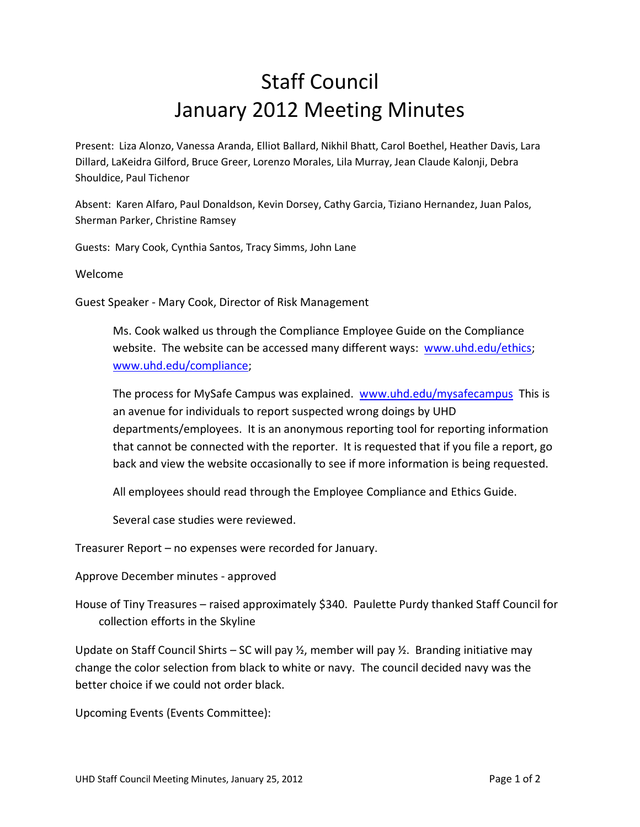## Staff Council January 2012 Meeting Minutes

Present: Liza Alonzo, Vanessa Aranda, Elliot Ballard, Nikhil Bhatt, Carol Boethel, Heather Davis, Lara Dillard, LaKeidra Gilford, Bruce Greer, Lorenzo Morales, Lila Murray, Jean Claude Kalonji, Debra Shouldice, Paul Tichenor

Absent: Karen Alfaro, Paul Donaldson, Kevin Dorsey, Cathy Garcia, Tiziano Hernandez, Juan Palos, Sherman Parker, Christine Ramsey

Guests: Mary Cook, Cynthia Santos, Tracy Simms, John Lane

Welcome

Guest Speaker - Mary Cook, Director of Risk Management

Ms. Cook walked us through the Compliance Employee Guide on the Compliance website. The website can be accessed many different ways: [www.uhd.edu/ethics;](http://www.uhd.edu/ethics) [www.uhd.edu/compliance;](http://www.uhd.edu/compliance)

The process for MySafe Campus was explained. [www.uhd.edu/mysafecampus](http://www.uhd.edu/mysafecampus) This is an avenue for individuals to report suspected wrong doings by UHD departments/employees. It is an anonymous reporting tool for reporting information that cannot be connected with the reporter. It is requested that if you file a report, go back and view the website occasionally to see if more information is being requested.

All employees should read through the Employee Compliance and Ethics Guide.

Several case studies were reviewed.

Treasurer Report – no expenses were recorded for January.

Approve December minutes - approved

House of Tiny Treasures – raised approximately \$340. Paulette Purdy thanked Staff Council for collection efforts in the Skyline

Update on Staff Council Shirts – SC will pay  $\frac{1}{2}$ , member will pay  $\frac{1}{2}$ . Branding initiative may change the color selection from black to white or navy. The council decided navy was the better choice if we could not order black.

Upcoming Events (Events Committee):